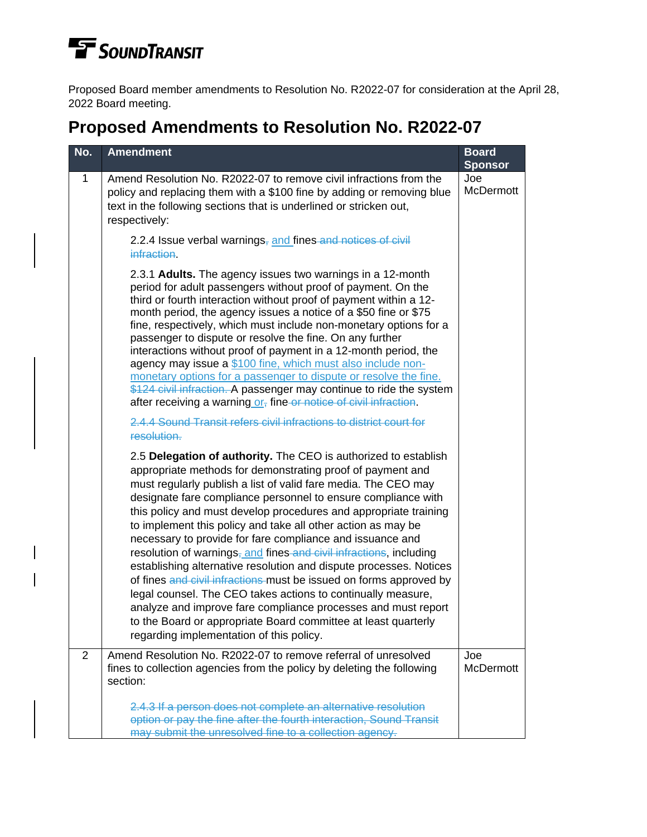## **TE** SOUNDTRANSIT

Proposed Board member amendments to Resolution No. R2022-07 for consideration at the April 28, 2022 Board meeting.

## **Proposed Amendments to Resolution No. R2022-07**

| No.            | <b>Amendment</b>                                                                                                                                                                                                                                                                                                                                                                                                                                                                                                                                                                                                                                                                                                                                                                                                                                                                                                                   | <b>Board</b><br><b>Sponsor</b> |
|----------------|------------------------------------------------------------------------------------------------------------------------------------------------------------------------------------------------------------------------------------------------------------------------------------------------------------------------------------------------------------------------------------------------------------------------------------------------------------------------------------------------------------------------------------------------------------------------------------------------------------------------------------------------------------------------------------------------------------------------------------------------------------------------------------------------------------------------------------------------------------------------------------------------------------------------------------|--------------------------------|
| 1              | Amend Resolution No. R2022-07 to remove civil infractions from the<br>policy and replacing them with a \$100 fine by adding or removing blue<br>text in the following sections that is underlined or stricken out,<br>respectively:                                                                                                                                                                                                                                                                                                                                                                                                                                                                                                                                                                                                                                                                                                | Joe<br><b>McDermott</b>        |
|                | 2.2.4 Issue verbal warnings, and fines and notices of civil<br><i>infraction</i>                                                                                                                                                                                                                                                                                                                                                                                                                                                                                                                                                                                                                                                                                                                                                                                                                                                   |                                |
|                | 2.3.1 Adults. The agency issues two warnings in a 12-month<br>period for adult passengers without proof of payment. On the<br>third or fourth interaction without proof of payment within a 12-<br>month period, the agency issues a notice of a \$50 fine or \$75<br>fine, respectively, which must include non-monetary options for a<br>passenger to dispute or resolve the fine. On any further<br>interactions without proof of payment in a 12-month period, the<br>agency may issue a \$100 fine, which must also include non-<br>monetary options for a passenger to dispute or resolve the fine.<br>\$124 civil infraction. A passenger may continue to ride the system<br>after receiving a warning or <sub>r</sub> fine or notice of civil infraction.                                                                                                                                                                  |                                |
|                | 2.4.4 Sound Transit refers civil infractions to district court for<br>resolution.                                                                                                                                                                                                                                                                                                                                                                                                                                                                                                                                                                                                                                                                                                                                                                                                                                                  |                                |
|                | 2.5 Delegation of authority. The CEO is authorized to establish<br>appropriate methods for demonstrating proof of payment and<br>must regularly publish a list of valid fare media. The CEO may<br>designate fare compliance personnel to ensure compliance with<br>this policy and must develop procedures and appropriate training<br>to implement this policy and take all other action as may be<br>necessary to provide for fare compliance and issuance and<br>resolution of warnings, and fines and civil infractions, including<br>establishing alternative resolution and dispute processes. Notices<br>of fines and civil infractions must be issued on forms approved by<br>legal counsel. The CEO takes actions to continually measure,<br>analyze and improve fare compliance processes and must report<br>to the Board or appropriate Board committee at least quarterly<br>regarding implementation of this policy. |                                |
| $\overline{2}$ | Amend Resolution No. R2022-07 to remove referral of unresolved<br>fines to collection agencies from the policy by deleting the following<br>section:                                                                                                                                                                                                                                                                                                                                                                                                                                                                                                                                                                                                                                                                                                                                                                               | Joe<br><b>McDermott</b>        |
|                | 2.4.3 If a person does not complete an alternative resolution<br>option or pay the fine after the fourth interaction, Sound Transit<br>may submit the unresolved fine to a collection agency.                                                                                                                                                                                                                                                                                                                                                                                                                                                                                                                                                                                                                                                                                                                                      |                                |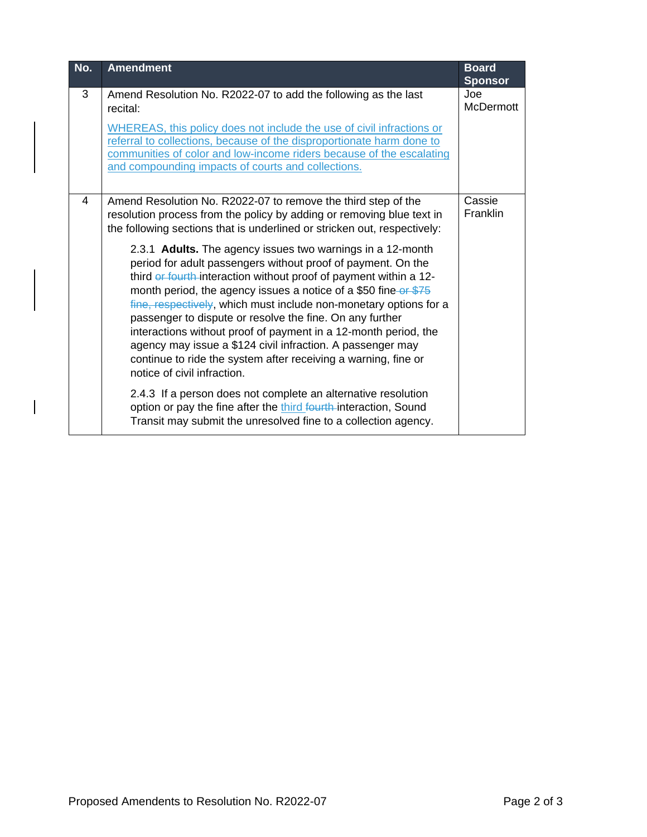| No. | <b>Amendment</b>                                                                                                                                                                                                                                                                                                                                                                                                                                                                                                                                                                                                                      | <b>Board</b><br><b>Sponsor</b> |
|-----|---------------------------------------------------------------------------------------------------------------------------------------------------------------------------------------------------------------------------------------------------------------------------------------------------------------------------------------------------------------------------------------------------------------------------------------------------------------------------------------------------------------------------------------------------------------------------------------------------------------------------------------|--------------------------------|
| 3   | Amend Resolution No. R2022-07 to add the following as the last<br>recital:                                                                                                                                                                                                                                                                                                                                                                                                                                                                                                                                                            | Joe<br><b>McDermott</b>        |
|     | WHEREAS, this policy does not include the use of civil infractions or<br>referral to collections, because of the disproportionate harm done to<br>communities of color and low-income riders because of the escalating<br>and compounding impacts of courts and collections.                                                                                                                                                                                                                                                                                                                                                          |                                |
| 4   | Amend Resolution No. R2022-07 to remove the third step of the<br>resolution process from the policy by adding or removing blue text in<br>the following sections that is underlined or stricken out, respectively:                                                                                                                                                                                                                                                                                                                                                                                                                    | Cassie<br><b>Franklin</b>      |
|     | 2.3.1 Adults. The agency issues two warnings in a 12-month<br>period for adult passengers without proof of payment. On the<br>third or fourth interaction without proof of payment within a 12-<br>month period, the agency issues a notice of a \$50 fine or \$75<br>fine, respectively, which must include non-monetary options for a<br>passenger to dispute or resolve the fine. On any further<br>interactions without proof of payment in a 12-month period, the<br>agency may issue a \$124 civil infraction. A passenger may<br>continue to ride the system after receiving a warning, fine or<br>notice of civil infraction. |                                |
|     | 2.4.3 If a person does not complete an alternative resolution<br>option or pay the fine after the third fourth-interaction, Sound<br>Transit may submit the unresolved fine to a collection agency.                                                                                                                                                                                                                                                                                                                                                                                                                                   |                                |